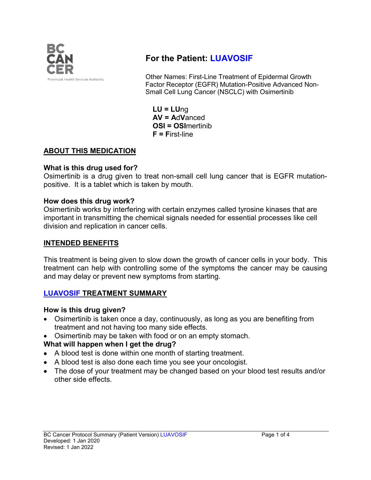

# **For the Patient: LUAVOSIF**

Other Names: First-Line Treatment of Epidermal Growth Factor Receptor (EGFR) Mutation-Positive Advanced Non-Small Cell Lung Cancer (NSCLC) with Osimertinib

**LU = LU**ng **AV = A**d**V**anced **OSI = OSI**mertinib **F = F**irst-line

# **ABOUT THIS MEDICATION**

### **What is this drug used for?**

Osimertinib is a drug given to treat non-small cell lung cancer that is EGFR mutationpositive. It is a tablet which is taken by mouth.

#### **How does this drug work?**

Osimertinib works by interfering with certain enzymes called tyrosine kinases that are important in transmitting the chemical signals needed for essential processes like cell division and replication in cancer cells.

### **INTENDED BENEFITS**

This treatment is being given to slow down the growth of cancer cells in your body. This treatment can help with controlling some of the symptoms the cancer may be causing and may delay or prevent new symptoms from starting.

#### **LUAVOSIF TREATMENT SUMMARY**

#### **How is this drug given?**

- Osimertinib is taken once a day, continuously, as long as you are benefiting from treatment and not having too many side effects.
- Osimertinib may be taken with food or on an empty stomach.

# **What will happen when I get the drug?**

- A blood test is done within one month of starting treatment.
- A blood test is also done each time you see your oncologist.
- The dose of your treatment may be changed based on your blood test results and/or other side effects.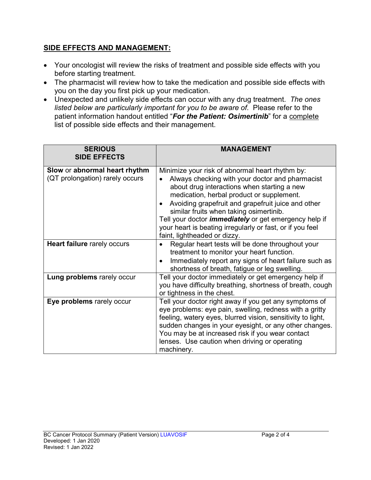# **SIDE EFFECTS AND MANAGEMENT:**

- Your oncologist will review the risks of treatment and possible side effects with you before starting treatment.
- The pharmacist will review how to take the medication and possible side effects with you on the day you first pick up your medication.
- Unexpected and unlikely side effects can occur with any drug treatment. *The ones listed below are particularly important for you to be aware of.* Please refer to the patient information handout entitled "*For the Patient: Osimertinib*" for a complete list of possible side effects and their management.

| <b>SERIOUS</b><br><b>SIDE EFFECTS</b>                            | <b>MANAGEMENT</b>                                                                                                                                                                                                                                                                                                                                                                                                                                                         |
|------------------------------------------------------------------|---------------------------------------------------------------------------------------------------------------------------------------------------------------------------------------------------------------------------------------------------------------------------------------------------------------------------------------------------------------------------------------------------------------------------------------------------------------------------|
| Slow or abnormal heart rhythm<br>(QT prolongation) rarely occurs | Minimize your risk of abnormal heart rhythm by:<br>Always checking with your doctor and pharmacist<br>about drug interactions when starting a new<br>medication, herbal product or supplement.<br>Avoiding grapefruit and grapefruit juice and other<br>$\bullet$<br>similar fruits when taking osimertinib.<br>Tell your doctor <i>immediately</i> or get emergency help if<br>your heart is beating irregularly or fast, or if you feel<br>faint, lightheaded or dizzy. |
| <b>Heart failure rarely occurs</b>                               | Regular heart tests will be done throughout your<br>treatment to monitor your heart function.<br>Immediately report any signs of heart failure such as<br>$\bullet$<br>shortness of breath, fatigue or leg swelling.                                                                                                                                                                                                                                                      |
| Lung problems rarely occur                                       | Tell your doctor immediately or get emergency help if<br>you have difficulty breathing, shortness of breath, cough<br>or tightness in the chest.                                                                                                                                                                                                                                                                                                                          |
| Eye problems rarely occur                                        | Tell your doctor right away if you get any symptoms of<br>eye problems: eye pain, swelling, redness with a gritty<br>feeling, watery eyes, blurred vision, sensitivity to light,<br>sudden changes in your eyesight, or any other changes.<br>You may be at increased risk if you wear contact<br>lenses. Use caution when driving or operating<br>machinery.                                                                                                             |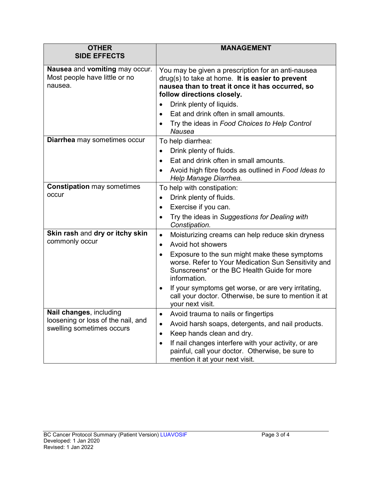| <b>OTHER</b><br><b>SIDE EFFECTS</b>                                                        | <b>MANAGEMENT</b>                                                                                                                                                                          |
|--------------------------------------------------------------------------------------------|--------------------------------------------------------------------------------------------------------------------------------------------------------------------------------------------|
| Nausea and vomiting may occur.<br>Most people have little or no<br>nausea.                 | You may be given a prescription for an anti-nausea<br>$drag(s)$ to take at home. It is easier to prevent<br>nausea than to treat it once it has occurred, so<br>follow directions closely. |
|                                                                                            | Drink plenty of liquids.                                                                                                                                                                   |
|                                                                                            | Eat and drink often in small amounts.<br>$\bullet$                                                                                                                                         |
|                                                                                            | Try the ideas in Food Choices to Help Control<br><b>Nausea</b>                                                                                                                             |
| <b>Diarrhea</b> may sometimes occur                                                        | To help diarrhea:                                                                                                                                                                          |
|                                                                                            | Drink plenty of fluids.<br>$\bullet$                                                                                                                                                       |
|                                                                                            | Eat and drink often in small amounts.<br>$\bullet$                                                                                                                                         |
|                                                                                            | Avoid high fibre foods as outlined in Food Ideas to<br>Help Manage Diarrhea.                                                                                                               |
| <b>Constipation may sometimes</b><br>occur                                                 | To help with constipation:                                                                                                                                                                 |
|                                                                                            | Drink plenty of fluids.<br>$\bullet$                                                                                                                                                       |
|                                                                                            | Exercise if you can.<br>$\bullet$                                                                                                                                                          |
|                                                                                            | Try the ideas in Suggestions for Dealing with<br>Constipation.                                                                                                                             |
| Skin rash and dry or itchy skin<br>commonly occur                                          | Moisturizing creams can help reduce skin dryness<br>$\bullet$                                                                                                                              |
|                                                                                            | Avoid hot showers<br>$\bullet$                                                                                                                                                             |
|                                                                                            | Exposure to the sun might make these symptoms<br>$\bullet$<br>worse. Refer to Your Medication Sun Sensitivity and<br>Sunscreens* or the BC Health Guide for more<br>information.           |
|                                                                                            | If your symptoms get worse, or are very irritating,<br>$\bullet$<br>call your doctor. Otherwise, be sure to mention it at<br>your next visit.                                              |
| Nail changes, including<br>loosening or loss of the nail, and<br>swelling sometimes occurs | Avoid trauma to nails or fingertips                                                                                                                                                        |
|                                                                                            | Avoid harsh soaps, detergents, and nail products.<br>$\bullet$                                                                                                                             |
|                                                                                            | Keep hands clean and dry.                                                                                                                                                                  |
|                                                                                            | If nail changes interfere with your activity, or are<br>painful, call your doctor. Otherwise, be sure to<br>mention it at your next visit.                                                 |